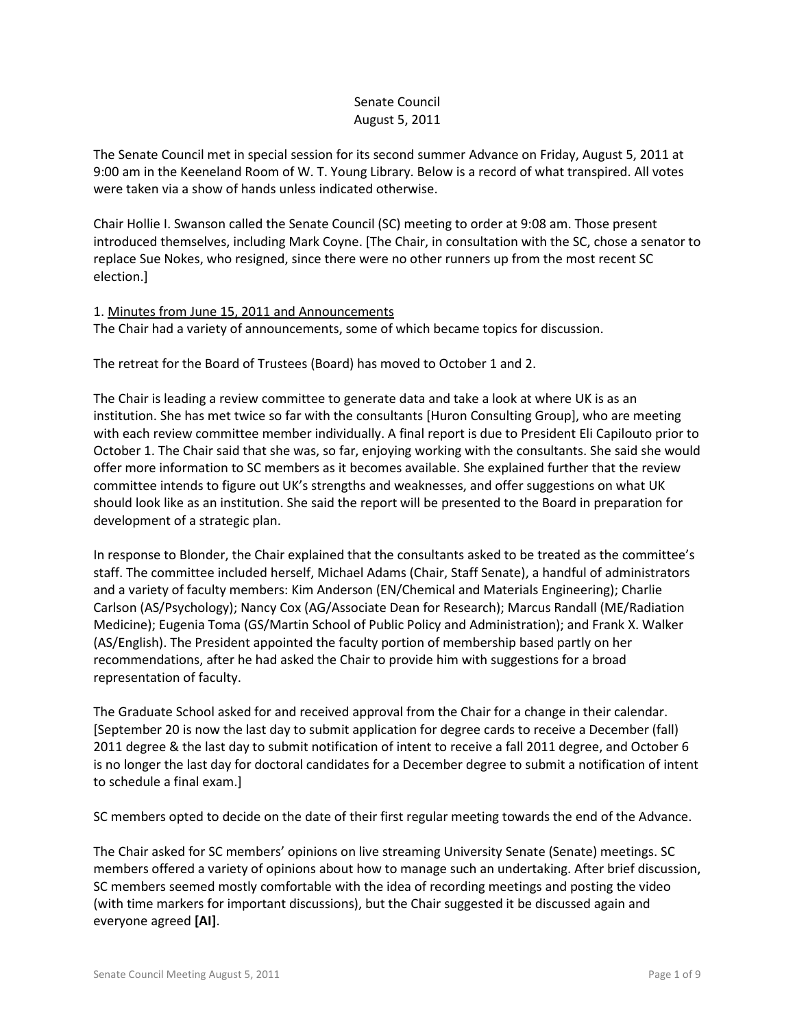# Senate Council August 5, 2011

The Senate Council met in special session for its second summer Advance on Friday, August 5, 2011 at 9:00 am in the Keeneland Room of W. T. Young Library. Below is a record of what transpired. All votes were taken via a show of hands unless indicated otherwise.

Chair Hollie I. Swanson called the Senate Council (SC) meeting to order at 9:08 am. Those present introduced themselves, including Mark Coyne. [The Chair, in consultation with the SC, chose a senator to replace Sue Nokes, who resigned, since there were no other runners up from the most recent SC election.]

## 1. Minutes from June 15, 2011 and Announcements

The Chair had a variety of announcements, some of which became topics for discussion.

The retreat for the Board of Trustees (Board) has moved to October 1 and 2.

The Chair is leading a review committee to generate data and take a look at where UK is as an institution. She has met twice so far with the consultants [Huron Consulting Group], who are meeting with each review committee member individually. A final report is due to President Eli Capilouto prior to October 1. The Chair said that she was, so far, enjoying working with the consultants. She said she would offer more information to SC members as it becomes available. She explained further that the review committee intends to figure out UK's strengths and weaknesses, and offer suggestions on what UK should look like as an institution. She said the report will be presented to the Board in preparation for development of a strategic plan.

In response to Blonder, the Chair explained that the consultants asked to be treated as the committee's staff. The committee included herself, Michael Adams (Chair, Staff Senate), a handful of administrators and a variety of faculty members: Kim Anderson (EN/Chemical and Materials Engineering); Charlie Carlson (AS/Psychology); Nancy Cox (AG/Associate Dean for Research); Marcus Randall (ME/Radiation Medicine); Eugenia Toma (GS/Martin School of Public Policy and Administration); and Frank X. Walker (AS/English). The President appointed the faculty portion of membership based partly on her recommendations, after he had asked the Chair to provide him with suggestions for a broad representation of faculty.

The Graduate School asked for and received approval from the Chair for a change in their calendar. [September 20 is now the last day to submit application for degree cards to receive a December (fall) 2011 degree & the last day to submit notification of intent to receive a fall 2011 degree, and October 6 is no longer the last day for doctoral candidates for a December degree to submit a notification of intent to schedule a final exam.]

SC members opted to decide on the date of their first regular meeting towards the end of the Advance.

The Chair asked for SC members' opinions on live streaming University Senate (Senate) meetings. SC members offered a variety of opinions about how to manage such an undertaking. After brief discussion, SC members seemed mostly comfortable with the idea of recording meetings and posting the video (with time markers for important discussions), but the Chair suggested it be discussed again and everyone agreed **[AI]**.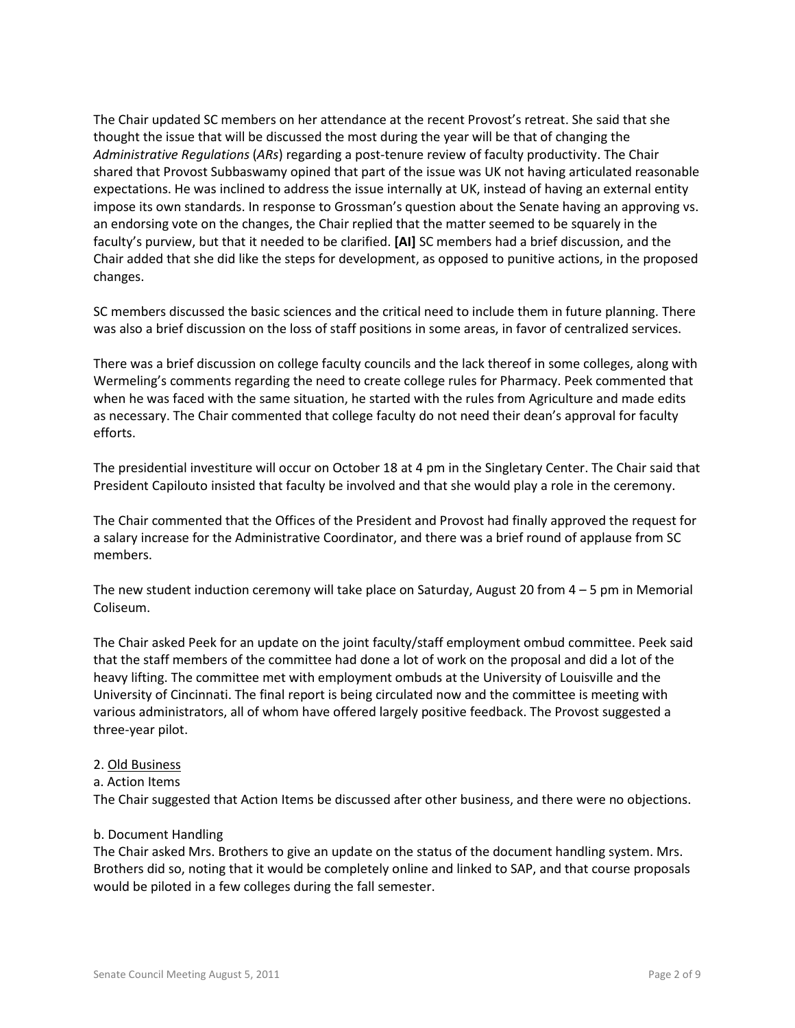The Chair updated SC members on her attendance at the recent Provost's retreat. She said that she thought the issue that will be discussed the most during the year will be that of changing the *Administrative Regulations* (*ARs*) regarding a post-tenure review of faculty productivity. The Chair shared that Provost Subbaswamy opined that part of the issue was UK not having articulated reasonable expectations. He was inclined to address the issue internally at UK, instead of having an external entity impose its own standards. In response to Grossman's question about the Senate having an approving vs. an endorsing vote on the changes, the Chair replied that the matter seemed to be squarely in the faculty's purview, but that it needed to be clarified. **[AI]** SC members had a brief discussion, and the Chair added that she did like the steps for development, as opposed to punitive actions, in the proposed changes.

SC members discussed the basic sciences and the critical need to include them in future planning. There was also a brief discussion on the loss of staff positions in some areas, in favor of centralized services.

There was a brief discussion on college faculty councils and the lack thereof in some colleges, along with Wermeling's comments regarding the need to create college rules for Pharmacy. Peek commented that when he was faced with the same situation, he started with the rules from Agriculture and made edits as necessary. The Chair commented that college faculty do not need their dean's approval for faculty efforts.

The presidential investiture will occur on October 18 at 4 pm in the Singletary Center. The Chair said that President Capilouto insisted that faculty be involved and that she would play a role in the ceremony.

The Chair commented that the Offices of the President and Provost had finally approved the request for a salary increase for the Administrative Coordinator, and there was a brief round of applause from SC members.

The new student induction ceremony will take place on Saturday, August 20 from 4 – 5 pm in Memorial Coliseum.

The Chair asked Peek for an update on the joint faculty/staff employment ombud committee. Peek said that the staff members of the committee had done a lot of work on the proposal and did a lot of the heavy lifting. The committee met with employment ombuds at the University of Louisville and the University of Cincinnati. The final report is being circulated now and the committee is meeting with various administrators, all of whom have offered largely positive feedback. The Provost suggested a three-year pilot.

#### 2. Old Business

a. Action Items

The Chair suggested that Action Items be discussed after other business, and there were no objections.

#### b. Document Handling

The Chair asked Mrs. Brothers to give an update on the status of the document handling system. Mrs. Brothers did so, noting that it would be completely online and linked to SAP, and that course proposals would be piloted in a few colleges during the fall semester.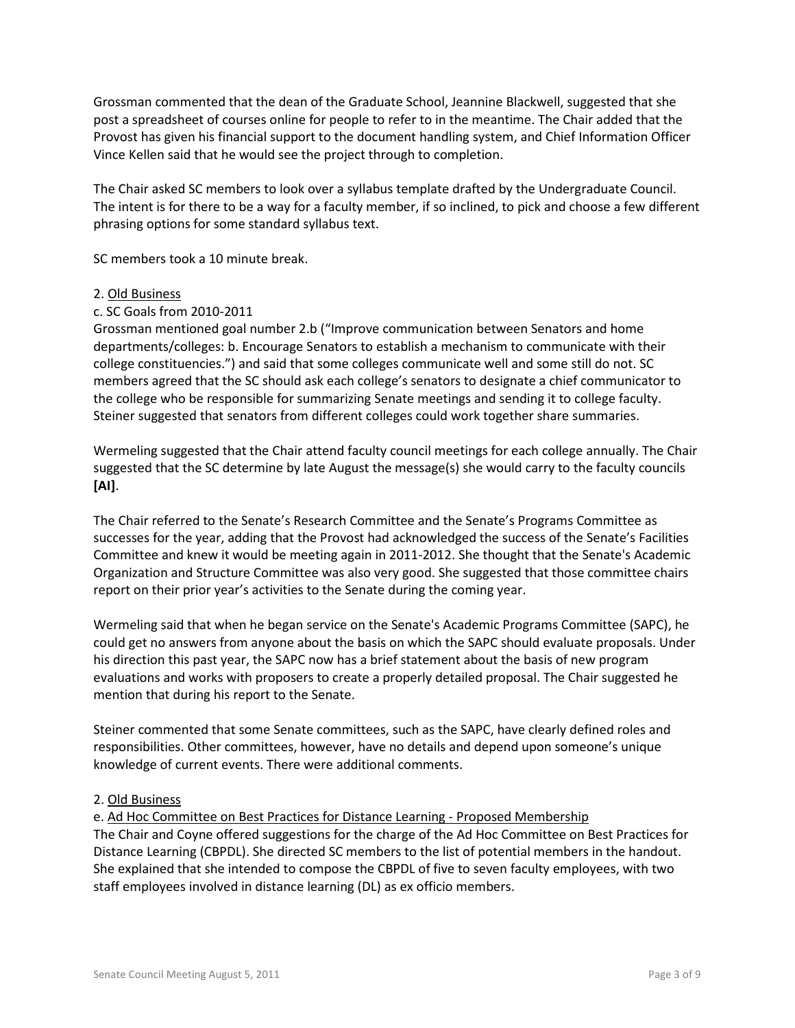Grossman commented that the dean of the Graduate School, Jeannine Blackwell, suggested that she post a spreadsheet of courses online for people to refer to in the meantime. The Chair added that the Provost has given his financial support to the document handling system, and Chief Information Officer Vince Kellen said that he would see the project through to completion.

The Chair asked SC members to look over a syllabus template drafted by the Undergraduate Council. The intent is for there to be a way for a faculty member, if so inclined, to pick and choose a few different phrasing options for some standard syllabus text.

SC members took a 10 minute break.

- 2. Old Business
- c. SC Goals from 2010-2011

Grossman mentioned goal number 2.b ("Improve communication between Senators and home departments/colleges: b. Encourage Senators to establish a mechanism to communicate with their college constituencies.") and said that some colleges communicate well and some still do not. SC members agreed that the SC should ask each college's senators to designate a chief communicator to the college who be responsible for summarizing Senate meetings and sending it to college faculty. Steiner suggested that senators from different colleges could work together share summaries.

Wermeling suggested that the Chair attend faculty council meetings for each college annually. The Chair suggested that the SC determine by late August the message(s) she would carry to the faculty councils **[AI]**.

The Chair referred to the Senate's Research Committee and the Senate's Programs Committee as successes for the year, adding that the Provost had acknowledged the success of the Senate's Facilities Committee and knew it would be meeting again in 2011-2012. She thought that the Senate's Academic Organization and Structure Committee was also very good. She suggested that those committee chairs report on their prior year's activities to the Senate during the coming year.

Wermeling said that when he began service on the Senate's Academic Programs Committee (SAPC), he could get no answers from anyone about the basis on which the SAPC should evaluate proposals. Under his direction this past year, the SAPC now has a brief statement about the basis of new program evaluations and works with proposers to create a properly detailed proposal. The Chair suggested he mention that during his report to the Senate.

Steiner commented that some Senate committees, such as the SAPC, have clearly defined roles and responsibilities. Other committees, however, have no details and depend upon someone's unique knowledge of current events. There were additional comments.

## 2. Old Business

e. Ad Hoc Committee on Best Practices for Distance Learning - Proposed Membership The Chair and Coyne offered suggestions for the charge of the Ad Hoc Committee on Best Practices for Distance Learning (CBPDL). She directed SC members to the list of potential members in the handout. She explained that she intended to compose the CBPDL of five to seven faculty employees, with two staff employees involved in distance learning (DL) as ex officio members.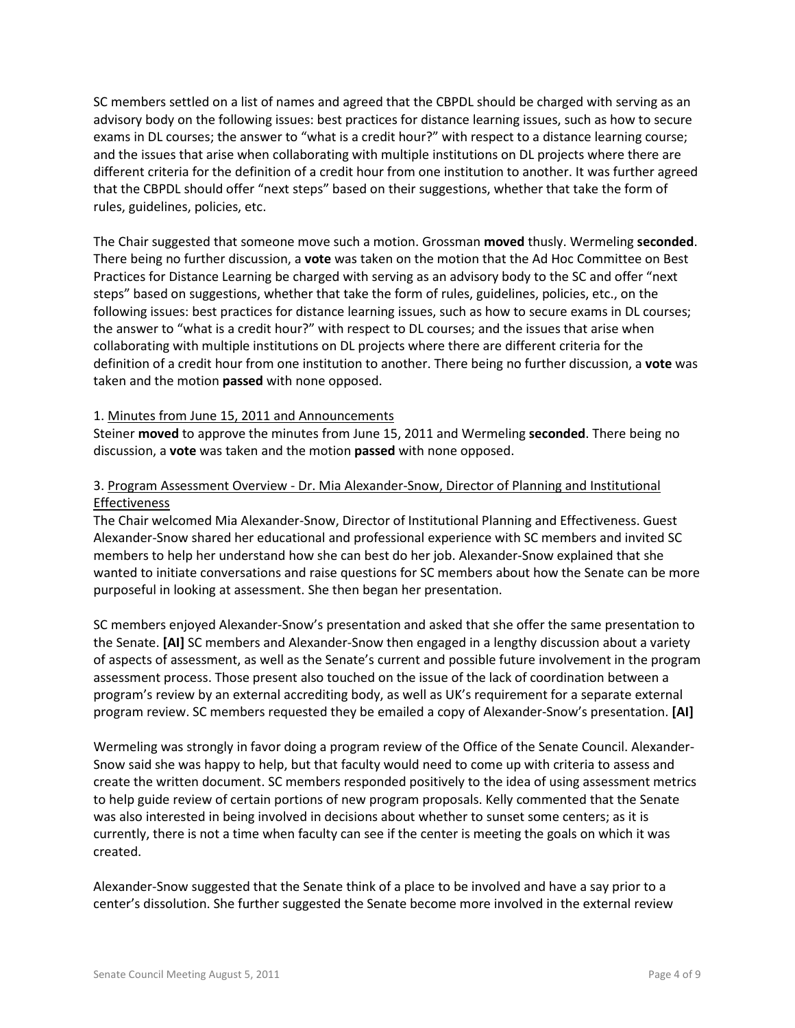SC members settled on a list of names and agreed that the CBPDL should be charged with serving as an advisory body on the following issues: best practices for distance learning issues, such as how to secure exams in DL courses; the answer to "what is a credit hour?" with respect to a distance learning course; and the issues that arise when collaborating with multiple institutions on DL projects where there are different criteria for the definition of a credit hour from one institution to another. It was further agreed that the CBPDL should offer "next steps" based on their suggestions, whether that take the form of rules, guidelines, policies, etc.

The Chair suggested that someone move such a motion. Grossman **moved** thusly. Wermeling **seconded**. There being no further discussion, a **vote** was taken on the motion that the Ad Hoc Committee on Best Practices for Distance Learning be charged with serving as an advisory body to the SC and offer "next steps" based on suggestions, whether that take the form of rules, guidelines, policies, etc., on the following issues: best practices for distance learning issues, such as how to secure exams in DL courses; the answer to "what is a credit hour?" with respect to DL courses; and the issues that arise when collaborating with multiple institutions on DL projects where there are different criteria for the definition of a credit hour from one institution to another. There being no further discussion, a **vote** was taken and the motion **passed** with none opposed.

#### 1. Minutes from June 15, 2011 and Announcements

Steiner **moved** to approve the minutes from June 15, 2011 and Wermeling **seconded**. There being no discussion, a **vote** was taken and the motion **passed** with none opposed.

# 3. Program Assessment Overview - Dr. Mia Alexander-Snow, Director of Planning and Institutional Effectiveness

The Chair welcomed Mia Alexander-Snow, Director of Institutional Planning and Effectiveness. Guest Alexander-Snow shared her educational and professional experience with SC members and invited SC members to help her understand how she can best do her job. Alexander-Snow explained that she wanted to initiate conversations and raise questions for SC members about how the Senate can be more purposeful in looking at assessment. She then began her presentation.

SC members enjoyed Alexander-Snow's presentation and asked that she offer the same presentation to the Senate. **[AI]** SC members and Alexander-Snow then engaged in a lengthy discussion about a variety of aspects of assessment, as well as the Senate's current and possible future involvement in the program assessment process. Those present also touched on the issue of the lack of coordination between a program's review by an external accrediting body, as well as UK's requirement for a separate external program review. SC members requested they be emailed a copy of Alexander-Snow's presentation. **[AI]**

Wermeling was strongly in favor doing a program review of the Office of the Senate Council. Alexander-Snow said she was happy to help, but that faculty would need to come up with criteria to assess and create the written document. SC members responded positively to the idea of using assessment metrics to help guide review of certain portions of new program proposals. Kelly commented that the Senate was also interested in being involved in decisions about whether to sunset some centers; as it is currently, there is not a time when faculty can see if the center is meeting the goals on which it was created.

Alexander-Snow suggested that the Senate think of a place to be involved and have a say prior to a center's dissolution. She further suggested the Senate become more involved in the external review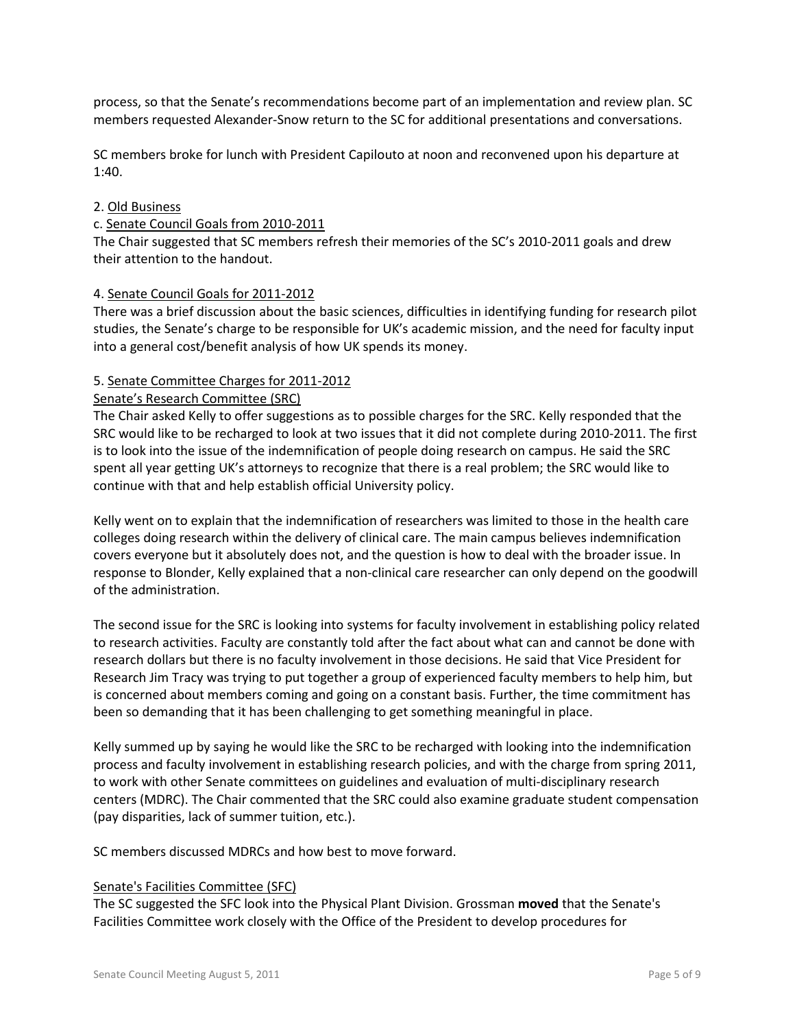process, so that the Senate's recommendations become part of an implementation and review plan. SC members requested Alexander-Snow return to the SC for additional presentations and conversations.

SC members broke for lunch with President Capilouto at noon and reconvened upon his departure at 1:40.

## 2. Old Business

## c. Senate Council Goals from 2010-2011

The Chair suggested that SC members refresh their memories of the SC's 2010-2011 goals and drew their attention to the handout.

## 4. Senate Council Goals for 2011-2012

There was a brief discussion about the basic sciences, difficulties in identifying funding for research pilot studies, the Senate's charge to be responsible for UK's academic mission, and the need for faculty input into a general cost/benefit analysis of how UK spends its money.

## 5. Senate Committee Charges for 2011-2012

## Senate's Research Committee (SRC)

The Chair asked Kelly to offer suggestions as to possible charges for the SRC. Kelly responded that the SRC would like to be recharged to look at two issues that it did not complete during 2010-2011. The first is to look into the issue of the indemnification of people doing research on campus. He said the SRC spent all year getting UK's attorneys to recognize that there is a real problem; the SRC would like to continue with that and help establish official University policy.

Kelly went on to explain that the indemnification of researchers was limited to those in the health care colleges doing research within the delivery of clinical care. The main campus believes indemnification covers everyone but it absolutely does not, and the question is how to deal with the broader issue. In response to Blonder, Kelly explained that a non-clinical care researcher can only depend on the goodwill of the administration.

The second issue for the SRC is looking into systems for faculty involvement in establishing policy related to research activities. Faculty are constantly told after the fact about what can and cannot be done with research dollars but there is no faculty involvement in those decisions. He said that Vice President for Research Jim Tracy was trying to put together a group of experienced faculty members to help him, but is concerned about members coming and going on a constant basis. Further, the time commitment has been so demanding that it has been challenging to get something meaningful in place.

Kelly summed up by saying he would like the SRC to be recharged with looking into the indemnification process and faculty involvement in establishing research policies, and with the charge from spring 2011, to work with other Senate committees on guidelines and evaluation of multi-disciplinary research centers (MDRC). The Chair commented that the SRC could also examine graduate student compensation (pay disparities, lack of summer tuition, etc.).

SC members discussed MDRCs and how best to move forward.

#### Senate's Facilities Committee (SFC)

The SC suggested the SFC look into the Physical Plant Division. Grossman **moved** that the Senate's Facilities Committee work closely with the Office of the President to develop procedures for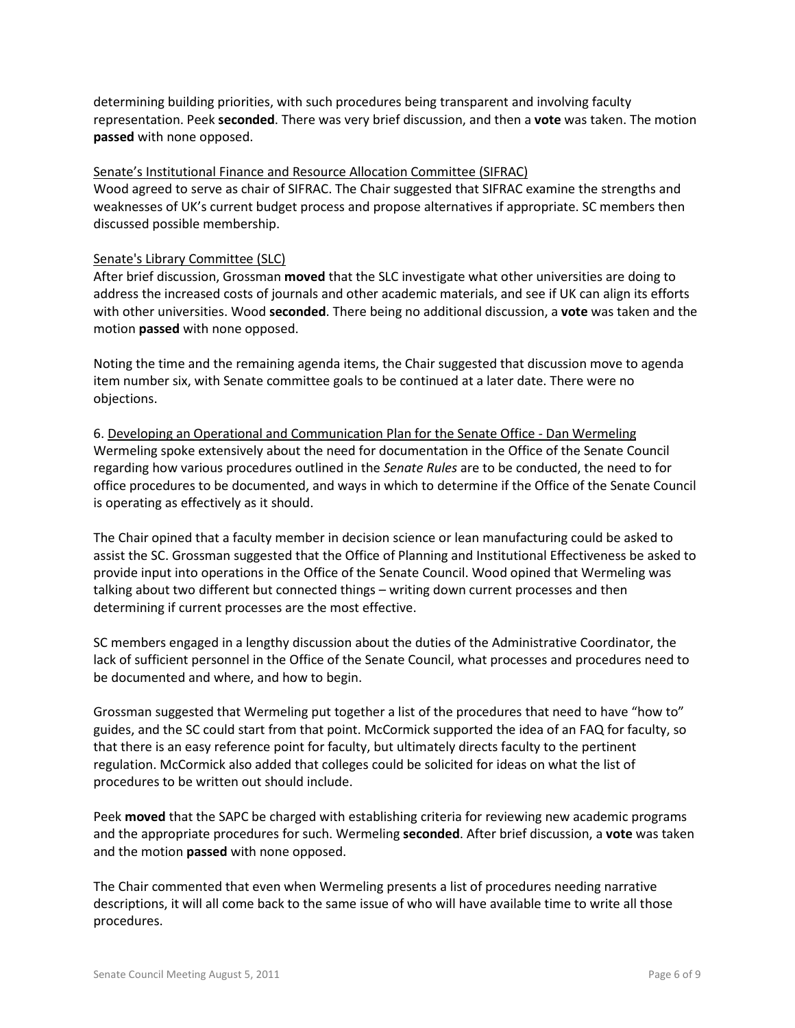determining building priorities, with such procedures being transparent and involving faculty representation. Peek **seconded**. There was very brief discussion, and then a **vote** was taken. The motion **passed** with none opposed.

## Senate's Institutional Finance and Resource Allocation Committee (SIFRAC)

Wood agreed to serve as chair of SIFRAC. The Chair suggested that SIFRAC examine the strengths and weaknesses of UK's current budget process and propose alternatives if appropriate. SC members then discussed possible membership.

#### Senate's Library Committee (SLC)

After brief discussion, Grossman **moved** that the SLC investigate what other universities are doing to address the increased costs of journals and other academic materials, and see if UK can align its efforts with other universities. Wood **seconded**. There being no additional discussion, a **vote** was taken and the motion **passed** with none opposed.

Noting the time and the remaining agenda items, the Chair suggested that discussion move to agenda item number six, with Senate committee goals to be continued at a later date. There were no objections.

6. Developing an Operational and Communication Plan for the Senate Office - Dan Wermeling Wermeling spoke extensively about the need for documentation in the Office of the Senate Council regarding how various procedures outlined in the *Senate Rules* are to be conducted, the need to for office procedures to be documented, and ways in which to determine if the Office of the Senate Council is operating as effectively as it should.

The Chair opined that a faculty member in decision science or lean manufacturing could be asked to assist the SC. Grossman suggested that the Office of Planning and Institutional Effectiveness be asked to provide input into operations in the Office of the Senate Council. Wood opined that Wermeling was talking about two different but connected things – writing down current processes and then determining if current processes are the most effective.

SC members engaged in a lengthy discussion about the duties of the Administrative Coordinator, the lack of sufficient personnel in the Office of the Senate Council, what processes and procedures need to be documented and where, and how to begin.

Grossman suggested that Wermeling put together a list of the procedures that need to have "how to" guides, and the SC could start from that point. McCormick supported the idea of an FAQ for faculty, so that there is an easy reference point for faculty, but ultimately directs faculty to the pertinent regulation. McCormick also added that colleges could be solicited for ideas on what the list of procedures to be written out should include.

Peek **moved** that the SAPC be charged with establishing criteria for reviewing new academic programs and the appropriate procedures for such. Wermeling **seconded**. After brief discussion, a **vote** was taken and the motion **passed** with none opposed.

The Chair commented that even when Wermeling presents a list of procedures needing narrative descriptions, it will all come back to the same issue of who will have available time to write all those procedures.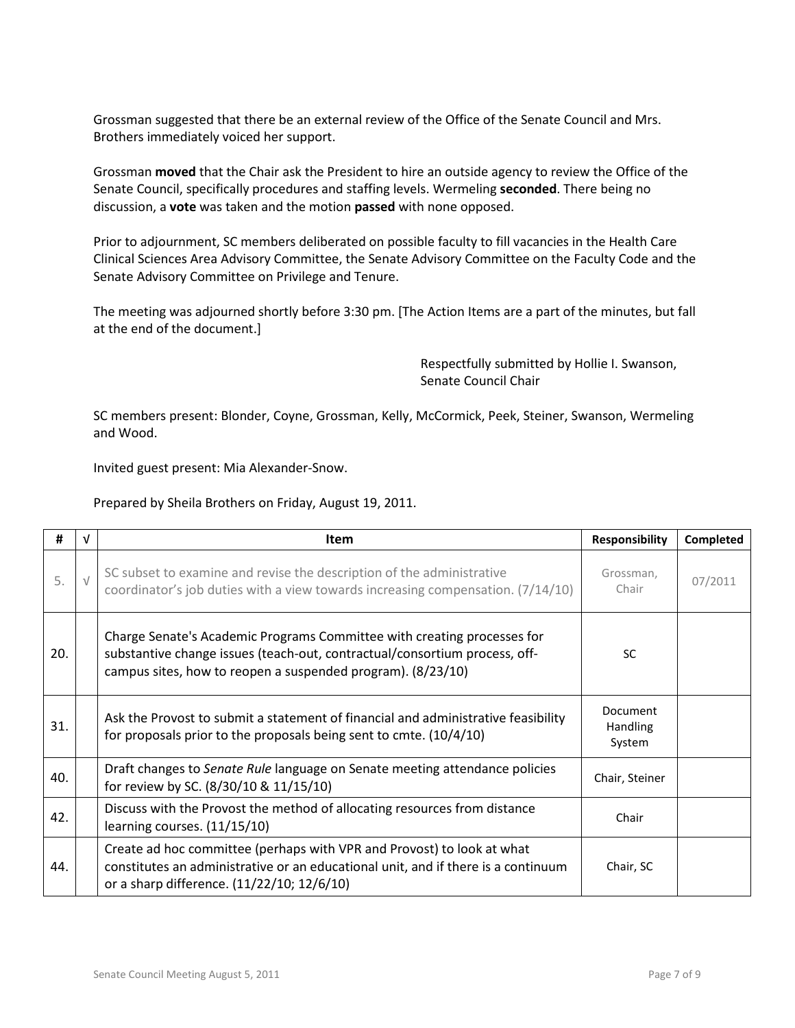Grossman suggested that there be an external review of the Office of the Senate Council and Mrs. Brothers immediately voiced her support.

Grossman **moved** that the Chair ask the President to hire an outside agency to review the Office of the Senate Council, specifically procedures and staffing levels. Wermeling **seconded**. There being no discussion, a **vote** was taken and the motion **passed** with none opposed.

Prior to adjournment, SC members deliberated on possible faculty to fill vacancies in the Health Care Clinical Sciences Area Advisory Committee, the Senate Advisory Committee on the Faculty Code and the Senate Advisory Committee on Privilege and Tenure.

The meeting was adjourned shortly before 3:30 pm. [The Action Items are a part of the minutes, but fall at the end of the document.]

> Respectfully submitted by Hollie I. Swanson, Senate Council Chair

SC members present: Blonder, Coyne, Grossman, Kelly, McCormick, Peek, Steiner, Swanson, Wermeling and Wood.

Invited guest present: Mia Alexander-Snow.

Prepared by Sheila Brothers on Friday, August 19, 2011.

| #   | V          | <b>Item</b>                                                                                                                                                                                                          | <b>Responsibility</b>                 | Completed |
|-----|------------|----------------------------------------------------------------------------------------------------------------------------------------------------------------------------------------------------------------------|---------------------------------------|-----------|
| 5.  | $\sqrt{ }$ | SC subset to examine and revise the description of the administrative<br>coordinator's job duties with a view towards increasing compensation. (7/14/10)                                                             | Grossman,<br>Chair                    | 07/2011   |
| 20. |            | Charge Senate's Academic Programs Committee with creating processes for<br>substantive change issues (teach-out, contractual/consortium process, off-<br>campus sites, how to reopen a suspended program). (8/23/10) | <b>SC</b>                             |           |
| 31. |            | Ask the Provost to submit a statement of financial and administrative feasibility<br>for proposals prior to the proposals being sent to cmte. $(10/4/10)$                                                            | Document<br><b>Handling</b><br>System |           |
| 40. |            | Draft changes to Senate Rule language on Senate meeting attendance policies<br>for review by SC. (8/30/10 & 11/15/10)                                                                                                | Chair, Steiner                        |           |
| 42. |            | Discuss with the Provost the method of allocating resources from distance<br>learning courses. (11/15/10)                                                                                                            | Chair                                 |           |
| 44. |            | Create ad hoc committee (perhaps with VPR and Provost) to look at what<br>constitutes an administrative or an educational unit, and if there is a continuum<br>or a sharp difference. (11/22/10; 12/6/10)            | Chair, SC                             |           |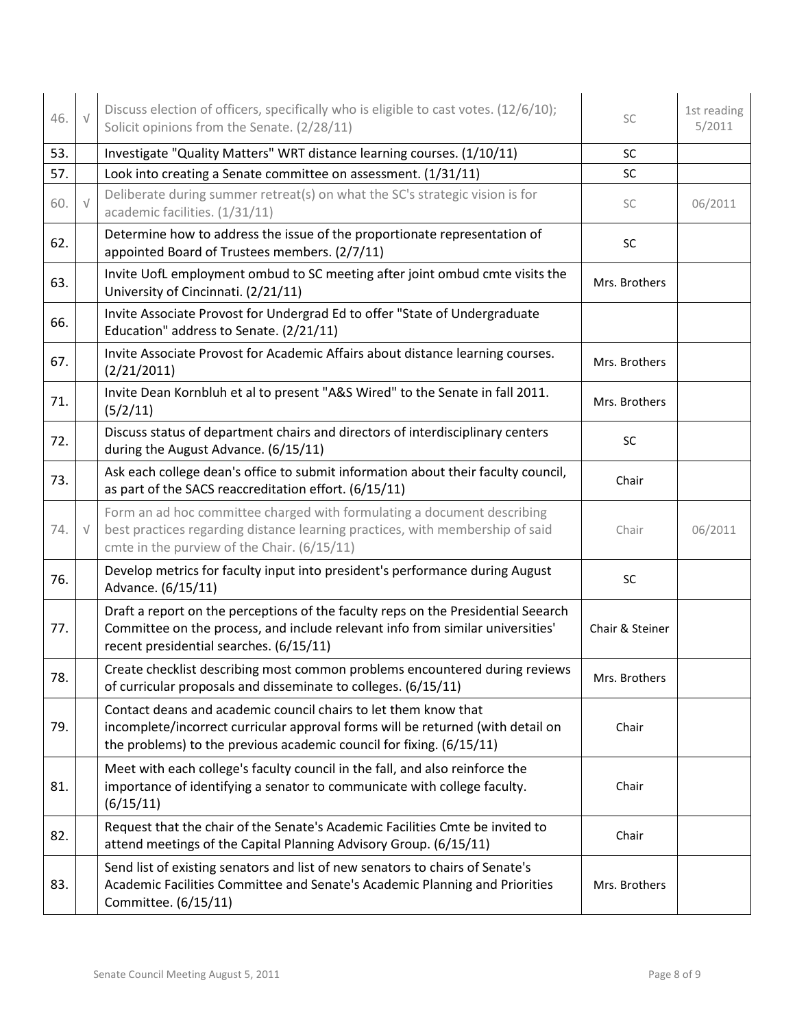| 46. | $\sqrt{}$  | Discuss election of officers, specifically who is eligible to cast votes. (12/6/10);<br>Solicit opinions from the Senate. (2/28/11)                                                                                        | SC              | 1st reading<br>5/2011 |
|-----|------------|----------------------------------------------------------------------------------------------------------------------------------------------------------------------------------------------------------------------------|-----------------|-----------------------|
| 53. |            | Investigate "Quality Matters" WRT distance learning courses. (1/10/11)                                                                                                                                                     | SC              |                       |
| 57. |            | Look into creating a Senate committee on assessment. (1/31/11)                                                                                                                                                             | SC              |                       |
| 60. | $\sqrt{ }$ | Deliberate during summer retreat(s) on what the SC's strategic vision is for<br>academic facilities. (1/31/11)                                                                                                             | SC              | 06/2011               |
| 62. |            | Determine how to address the issue of the proportionate representation of<br>appointed Board of Trustees members. (2/7/11)                                                                                                 | SC              |                       |
| 63. |            | Invite UofL employment ombud to SC meeting after joint ombud cmte visits the<br>University of Cincinnati. (2/21/11)                                                                                                        | Mrs. Brothers   |                       |
| 66. |            | Invite Associate Provost for Undergrad Ed to offer "State of Undergraduate<br>Education" address to Senate. (2/21/11)                                                                                                      |                 |                       |
| 67. |            | Invite Associate Provost for Academic Affairs about distance learning courses.<br>(2/21/2011)                                                                                                                              | Mrs. Brothers   |                       |
| 71. |            | Invite Dean Kornbluh et al to present "A&S Wired" to the Senate in fall 2011.<br>(5/2/11)                                                                                                                                  | Mrs. Brothers   |                       |
| 72. |            | Discuss status of department chairs and directors of interdisciplinary centers<br>during the August Advance. (6/15/11)                                                                                                     | SC              |                       |
| 73. |            | Ask each college dean's office to submit information about their faculty council,<br>as part of the SACS reaccreditation effort. (6/15/11)                                                                                 | Chair           |                       |
| 74. | $\sqrt{}$  | Form an ad hoc committee charged with formulating a document describing<br>best practices regarding distance learning practices, with membership of said<br>cmte in the purview of the Chair. (6/15/11)                    | Chair           | 06/2011               |
| 76. |            | Develop metrics for faculty input into president's performance during August<br>Advance. (6/15/11)                                                                                                                         | SC              |                       |
| 77. |            | Draft a report on the perceptions of the faculty reps on the Presidential Seearch<br>Committee on the process, and include relevant info from similar universities'<br>recent presidential searches. (6/15/11)             | Chair & Steiner |                       |
| 78. |            | Create checklist describing most common problems encountered during reviews<br>of curricular proposals and disseminate to colleges. (6/15/11)                                                                              | Mrs. Brothers   |                       |
| 79. |            | Contact deans and academic council chairs to let them know that<br>incomplete/incorrect curricular approval forms will be returned (with detail on<br>the problems) to the previous academic council for fixing. (6/15/11) | Chair           |                       |
| 81. |            | Meet with each college's faculty council in the fall, and also reinforce the<br>importance of identifying a senator to communicate with college faculty.<br>(6/15/11)                                                      | Chair           |                       |
| 82. |            | Request that the chair of the Senate's Academic Facilities Cmte be invited to<br>attend meetings of the Capital Planning Advisory Group. (6/15/11)                                                                         | Chair           |                       |
| 83. |            | Send list of existing senators and list of new senators to chairs of Senate's<br>Academic Facilities Committee and Senate's Academic Planning and Priorities<br>Committee. (6/15/11)                                       | Mrs. Brothers   |                       |